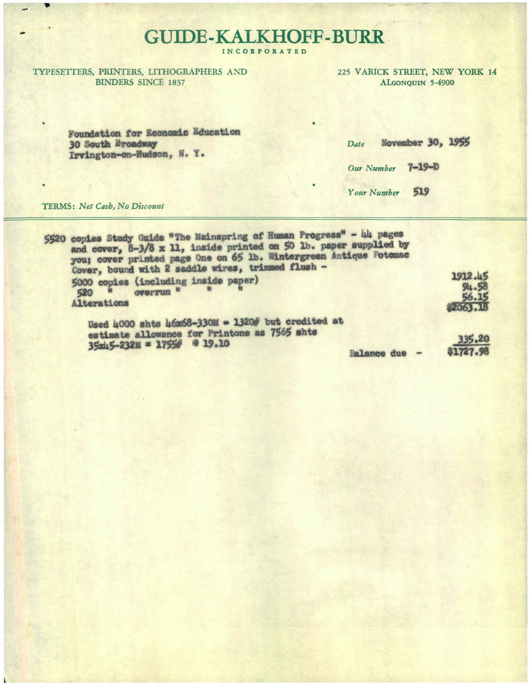## **GUIDE-KALKHOFF-BURR**

INCORPORATED

TYPESETTERS, PRINTERS, LITHOGRAPHERS AND **BINDERS SINCE 1837** 

225 VARICK STREET, NEW YORK 14 ALGONQUIN 5-4900

Foundation for Economic Education 30 South Broadway Irvington-on-Hudson, N. Y.

| Date              |     | November 30, 1955 |
|-------------------|-----|-------------------|
| Our Number 7-19-D |     |                   |
| Your Number       | 519 |                   |

TERMS: Net Cash, No Discount

| 5520 copies Study Guide "The Mainspring of Human Progress" - 44 pages<br>and cover, 8-3/8 x 11, inside printed on 50 lb. paper supplied by<br>you; cover printed page One on 65 lb. Wintergreen Antique Potomac |                                        |
|-----------------------------------------------------------------------------------------------------------------------------------------------------------------------------------------------------------------|----------------------------------------|
| Cover, bound with 2 saddle wires, trimmed flush -<br>5000 copies (including inside paper)<br>overrun "<br>520<br>Alterations                                                                                    | 1912.45<br>94.58<br>56.15<br>\$2063.18 |
| Used 4000 shts 46x68-330M = 1320# but credited at<br>estimate allowance for Printone as 7565 shts<br>$35x45-232x = 1755%$ @ 19.10<br>Balance due -                                                              | 335.20<br>\$1727.98                    |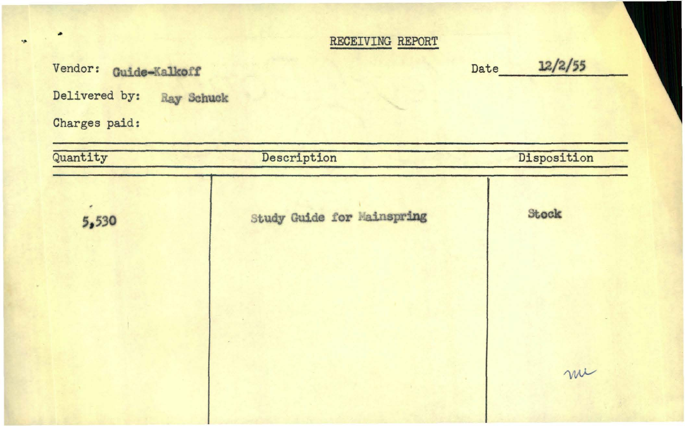## RECEIVING REPORT

Vendor: Guide-Kalkoff **Date 12/2/55** 

Delivered by: **Ray Schuck** 

Charges paid:

٠

 $\bullet$ 

| Study Guide for Mainspring | Stock |  |
|----------------------------|-------|--|
|                            |       |  |
|                            |       |  |
|                            | me    |  |
|                            |       |  |